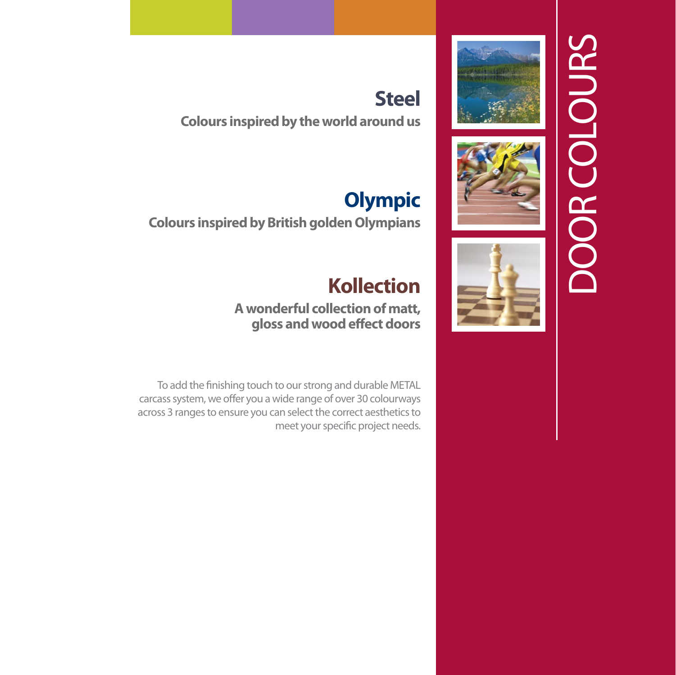





## **Steel**

**Colours inspired by the world around us**

# **Olympic**

**Colours inspired by British golden Olympians**

# **Kollection**

#### **A wonderful collection of matt, gloss and wood effect doors**

To add the finishing touch to our strong and durable METAL carcass system, we offer you a wide range of over 30 colourways across 3 ranges to ensure you can select the correct aesthetics to meet your specific project needs.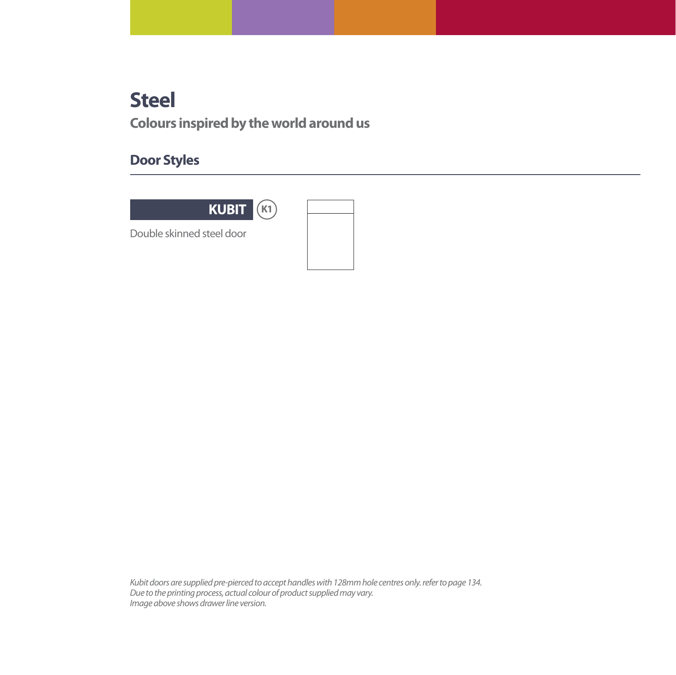### **Steel**

**Colours inspired by the world around us**

### **Door Styles**



Double skinned steel door

Kubit doors are supplied pre-pierced to accept handles with 128mm hole centres only. refer to page 134. Due to the printing process, actual colour of product supplied may vary. Image above shows drawer line version.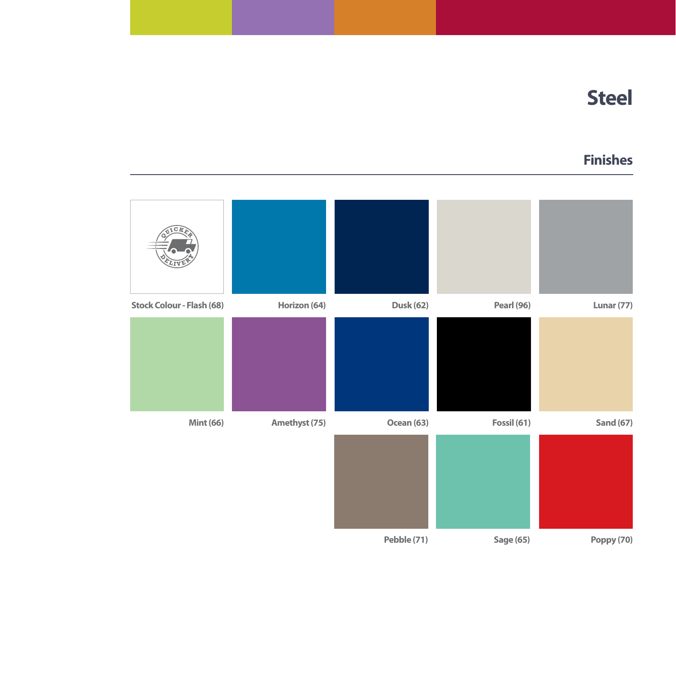### **Steel**

#### **Finishes**

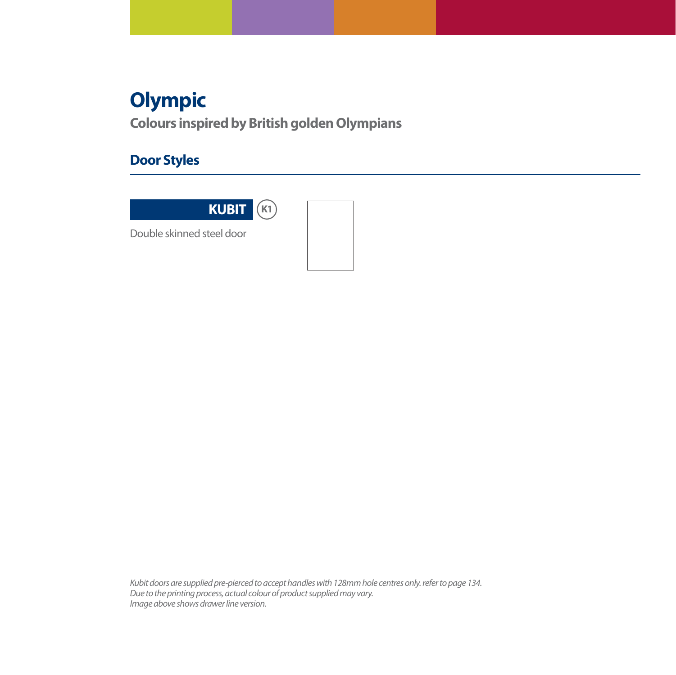## **Olympic**

**Colours inspired by British golden Olympians**

### **Door Styles**



Double skinned steel door

Kubit doors are supplied pre-pierced to accept handles with 128mm hole centres only. refer to page 134. Due to the printing process, actual colour of product supplied may vary. Image above shows drawer line version.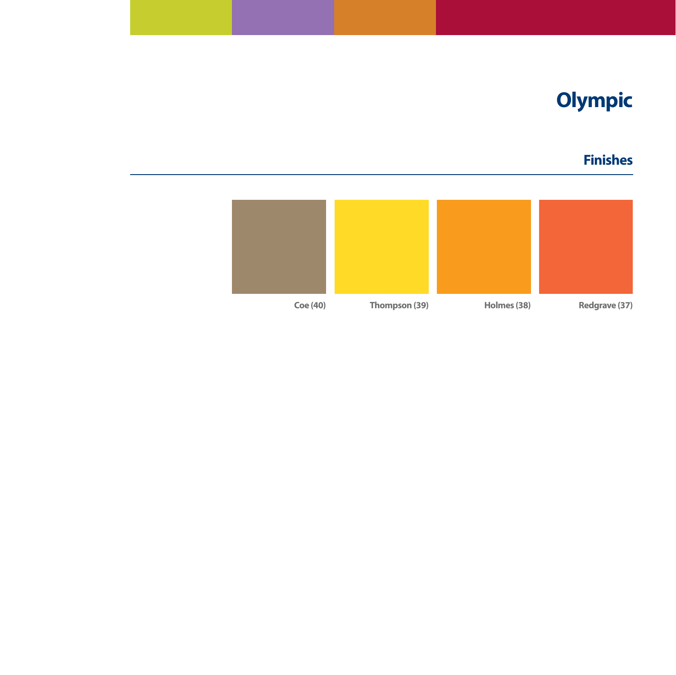# **Olympic**

### **Finishes**

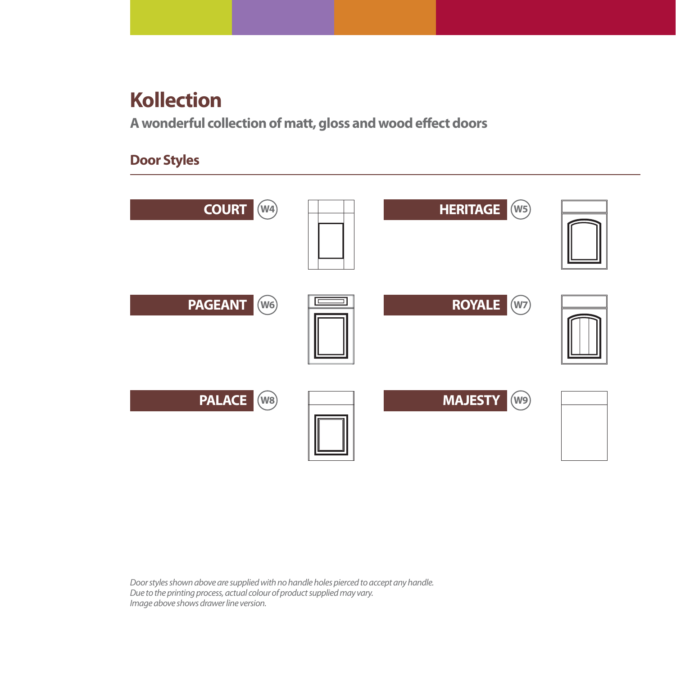### **Kollection**

**A wonderful collection of matt, gloss and wood effect doors**

#### **Door Styles**



Door styles shown above are supplied with no handle holes pierced to accept any handle. Due to the printing process, actual colour of product supplied may vary. Image above shows drawer line version.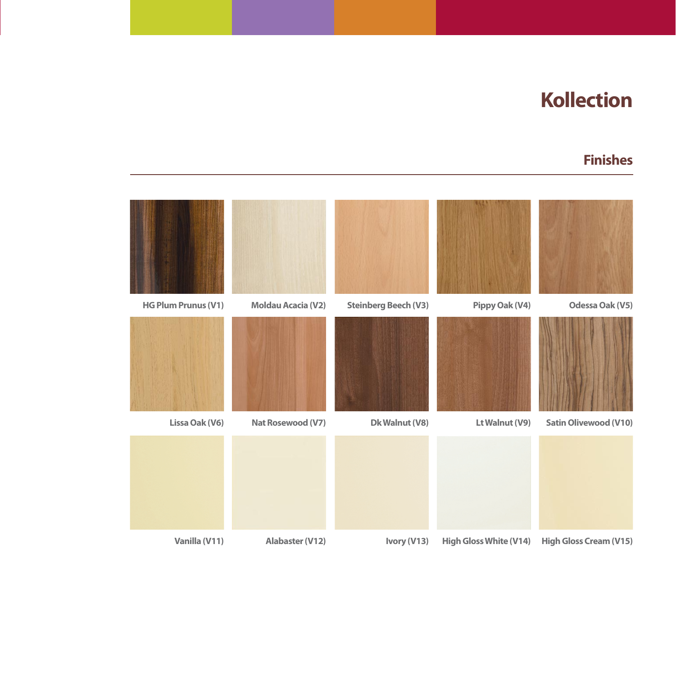### **Kollection**

#### **Finishes**